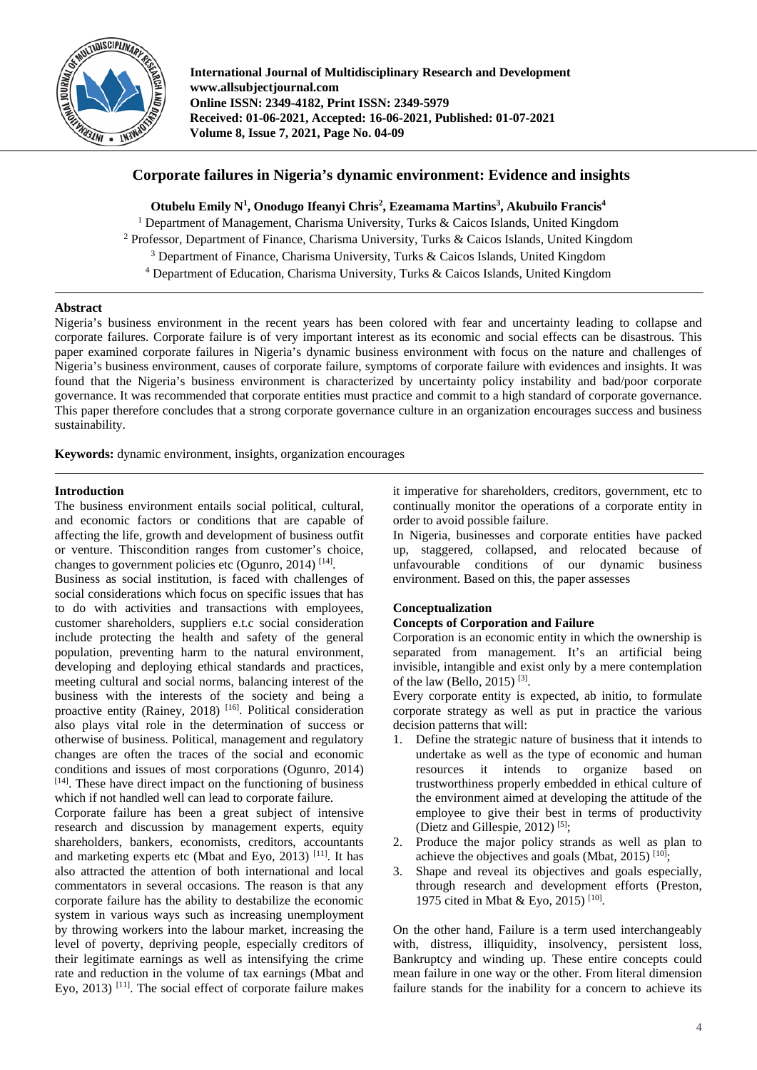

**International Journal of Multidisciplinary Research and Development www.allsubjectjournal.com Online ISSN: 2349-4182, Print ISSN: 2349-5979 Received: 01-06-2021, Accepted: 16-06-2021, Published: 01-07-2021 Volume 8, Issue 7, 2021, Page No. 04-09**

# **Corporate failures in Nigeria's dynamic environment: Evidence and insights**

**Otubelu Emily N1 , Onodugo Ifeanyi Chris2 , Ezeamama Martins3 , Akubuilo Francis4**

<sup>1</sup> Department of Management, Charisma University, Turks & Caicos Islands, United Kingdom <sup>2</sup> Professor, Department of Finance, Charisma University, Turks & Caicos Islands, United Kingdom <sup>3</sup> Department of Finance, Charisma University, Turks & Caicos Islands, United Kingdom <sup>4</sup> Department of Education, Charisma University, Turks & Caicos Islands, United Kingdom

# **Abstract**

Nigeria's business environment in the recent years has been colored with fear and uncertainty leading to collapse and corporate failures. Corporate failure is of very important interest as its economic and social effects can be disastrous*.* This paper examined corporate failures in Nigeria's dynamic business environment with focus on the nature and challenges of Nigeria's business environment, causes of corporate failure, symptoms of corporate failure with evidences and insights. It was found that the Nigeria's business environment is characterized by uncertainty policy instability and bad/poor corporate governance. It was recommended that corporate entities must practice and commit to a high standard of corporate governance. This paper therefore concludes that a strong corporate governance culture in an organization encourages success and business sustainability.

**Keywords:** dynamic environment, insights, organization encourages

## **Introduction**

The business environment entails social political, cultural, and economic factors or conditions that are capable of affecting the life, growth and development of business outfit or venture. Thiscondition ranges from customer's choice, changes to government policies etc (Ogunro, 2014)<sup>[14]</sup>.

Business as social institution, is faced with challenges of social considerations which focus on specific issues that has to do with activities and transactions with employees, customer shareholders, suppliers e.t.c social consideration include protecting the health and safety of the general population, preventing harm to the natural environment, developing and deploying ethical standards and practices, meeting cultural and social norms, balancing interest of the business with the interests of the society and being a proactive entity (Rainey, 2018) <sup>[16]</sup>. Political consideration also plays vital role in the determination of success or otherwise of business. Political, management and regulatory changes are often the traces of the social and economic conditions and issues of most corporations (Ogunro, 2014) [14]. These have direct impact on the functioning of business which if not handled well can lead to corporate failure.

Corporate failure has been a great subject of intensive research and discussion by management experts, equity shareholders, bankers, economists, creditors, accountants and marketing experts etc (Mbat and Eyo, 2013) [11]. It has also attracted the attention of both international and local commentators in several occasions. The reason is that any corporate failure has the ability to destabilize the economic system in various ways such as increasing unemployment by throwing workers into the labour market, increasing the level of poverty, depriving people, especially creditors of their legitimate earnings as well as intensifying the crime rate and reduction in the volume of tax earnings (Mbat and Eyo, 2013) [11]. The social effect of corporate failure makes it imperative for shareholders, creditors, government, etc to continually monitor the operations of a corporate entity in order to avoid possible failure.

In Nigeria, businesses and corporate entities have packed up, staggered, collapsed, and relocated because of unfavourable conditions of our dynamic business environment. Based on this, the paper assesses

# **Conceptualization**

## **Concepts of Corporation and Failure**

Corporation is an economic entity in which the ownership is separated from management. It's an artificial being invisible, intangible and exist only by a mere contemplation of the law (Bello, 2015) [3].

Every corporate entity is expected, ab initio, to formulate corporate strategy as well as put in practice the various decision patterns that will:

- 1. Define the strategic nature of business that it intends to undertake as well as the type of economic and human resources it intends to organize based on trustworthiness properly embedded in ethical culture of the environment aimed at developing the attitude of the employee to give their best in terms of productivity (Dietz and Gillespie, 2012)<sup>[5]</sup>;
- 2. Produce the major policy strands as well as plan to achieve the objectives and goals (Mbat, 2015)  $[10]$ .
- 3. Shape and reveal its objectives and goals especially, through research and development efforts (Preston, 1975 cited in Mbat & Eyo, 2015) [10].

On the other hand, Failure is a term used interchangeably with, distress, illiquidity, insolvency, persistent loss, Bankruptcy and winding up. These entire concepts could mean failure in one way or the other. From literal dimension failure stands for the inability for a concern to achieve its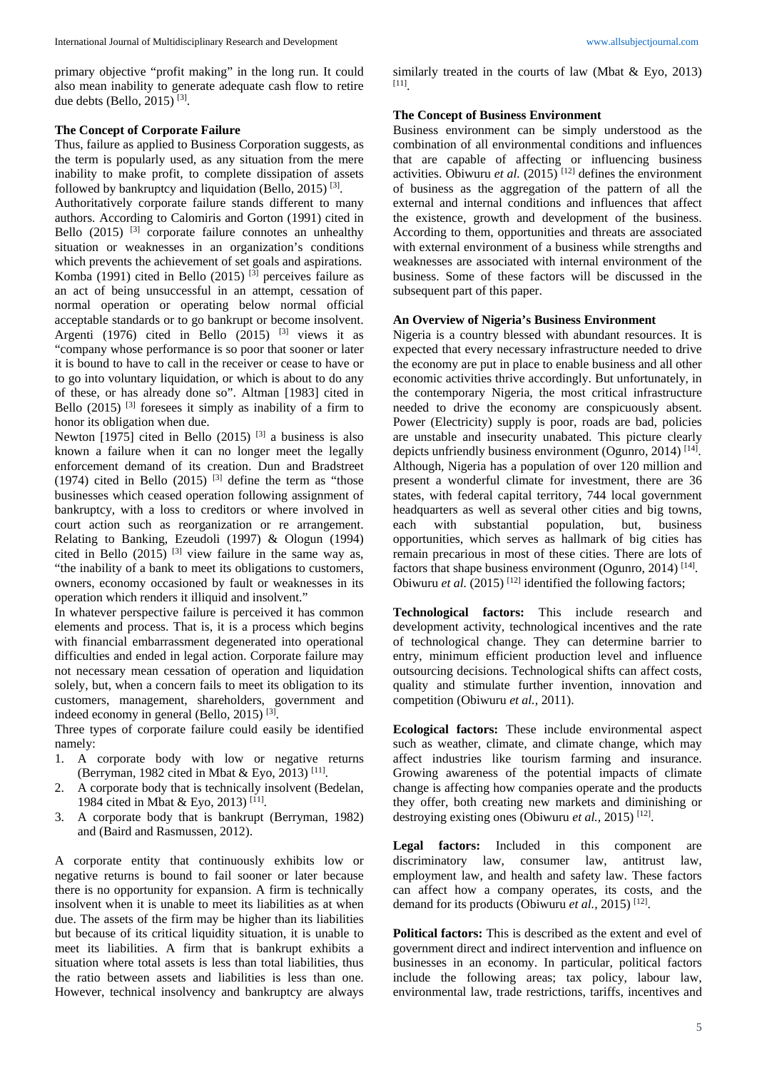primary objective "profit making" in the long run. It could also mean inability to generate adequate cash flow to retire due debts (Bello, 2015) [3].

### **The Concept of Corporate Failure**

Thus, failure as applied to Business Corporation suggests, as the term is popularly used, as any situation from the mere inability to make profit, to complete dissipation of assets followed by bankruptcy and liquidation (Bello, 2015) [3].

Authoritatively corporate failure stands different to many authors. According to Calomiris and Gorton (1991) cited in Bello  $(2015)$  <sup>[3]</sup> corporate failure connotes an unhealthy situation or weaknesses in an organization's conditions which prevents the achievement of set goals and aspirations. Komba (1991) cited in Bello (2015) <sup>[3]</sup> perceives failure as an act of being unsuccessful in an attempt, cessation of normal operation or operating below normal official acceptable standards or to go bankrupt or become insolvent. Argenti (1976) cited in Bello (2015) <sup>[3]</sup> views it as "company whose performance is so poor that sooner or later it is bound to have to call in the receiver or cease to have or to go into voluntary liquidation, or which is about to do any of these, or has already done so". Altman [1983] cited in Bello  $(2015)$ <sup>[3]</sup> foresees it simply as inability of a firm to honor its obligation when due.

Newton [1975] cited in Bello  $(2015)$ <sup>[3]</sup> a business is also known a failure when it can no longer meet the legally enforcement demand of its creation. Dun and Bradstreet (1974) cited in Bello (2015) <sup>[3]</sup> define the term as "those businesses which ceased operation following assignment of bankruptcy, with a loss to creditors or where involved in court action such as reorganization or re arrangement. Relating to Banking, Ezeudoli (1997) & Ologun (1994) cited in Bello  $(2015)$  <sup>[3]</sup> view failure in the same way as, "the inability of a bank to meet its obligations to customers, owners, economy occasioned by fault or weaknesses in its operation which renders it illiquid and insolvent."

In whatever perspective failure is perceived it has common elements and process. That is, it is a process which begins with financial embarrassment degenerated into operational difficulties and ended in legal action. Corporate failure may not necessary mean cessation of operation and liquidation solely, but, when a concern fails to meet its obligation to its customers, management, shareholders, government and indeed economy in general (Bello, 2015)<sup>[3]</sup>.

Three types of corporate failure could easily be identified namely:

- 1. A corporate body with low or negative returns (Berryman, 1982 cited in Mbat & Eyo, 2013) [11].
- 2. A corporate body that is technically insolvent (Bedelan, 1984 cited in Mbat & Eyo, 2013) [11].
- 3. A corporate body that is bankrupt (Berryman, 1982) and (Baird and Rasmussen, 2012).

A corporate entity that continuously exhibits low or negative returns is bound to fail sooner or later because there is no opportunity for expansion. A firm is technically insolvent when it is unable to meet its liabilities as at when due. The assets of the firm may be higher than its liabilities but because of its critical liquidity situation, it is unable to meet its liabilities. A firm that is bankrupt exhibits a situation where total assets is less than total liabilities, thus the ratio between assets and liabilities is less than one. However, technical insolvency and bankruptcy are always

similarly treated in the courts of law (Mbat & Eyo, 2013) [11].

#### **The Concept of Business Environment**

Business environment can be simply understood as the combination of all environmental conditions and influences that are capable of affecting or influencing business activities. Obiwuru *et al.*  $(2015)^{[12]}$  defines the environment of business as the aggregation of the pattern of all the external and internal conditions and influences that affect the existence, growth and development of the business. According to them, opportunities and threats are associated with external environment of a business while strengths and weaknesses are associated with internal environment of the business. Some of these factors will be discussed in the subsequent part of this paper.

### **An Overview of Nigeria's Business Environment**

Nigeria is a country blessed with abundant resources. It is expected that every necessary infrastructure needed to drive the economy are put in place to enable business and all other economic activities thrive accordingly. But unfortunately, in the contemporary Nigeria, the most critical infrastructure needed to drive the economy are conspicuously absent. Power (Electricity) supply is poor, roads are bad, policies are unstable and insecurity unabated. This picture clearly depicts unfriendly business environment (Ogunro, 2014)<sup>[14]</sup>. Although, Nigeria has a population of over 120 million and present a wonderful climate for investment, there are 36 states, with federal capital territory, 744 local government headquarters as well as several other cities and big towns. each with substantial population, but, business opportunities, which serves as hallmark of big cities has remain precarious in most of these cities. There are lots of factors that shape business environment (Ogunro, 2014)<sup>[14]</sup>. Obiwuru *et al.*  $(2015)$ <sup>[12]</sup> identified the following factors;

**Technological factors:** This include research and development activity, technological incentives and the rate of technological change. They can determine barrier to entry, minimum efficient production level and influence outsourcing decisions. Technological shifts can affect costs, quality and stimulate further invention, innovation and competition (Obiwuru *et al.,* 2011).

**Ecological factors:** These include environmental aspect such as weather, climate, and climate change, which may affect industries like tourism farming and insurance. Growing awareness of the potential impacts of climate change is affecting how companies operate and the products they offer, both creating new markets and diminishing or destroying existing ones (Obiwuru *et al.,* 2015) [12].

**Legal factors:** Included in this component are discriminatory law, consumer law, antitrust law, employment law, and health and safety law. These factors can affect how a company operates, its costs, and the demand for its products (Obiwuru et al., 2015)<sup>[12]</sup>.

**Political factors:** This is described as the extent and evel of government direct and indirect intervention and influence on businesses in an economy. In particular, political factors include the following areas; tax policy, labour law, environmental law, trade restrictions, tariffs, incentives and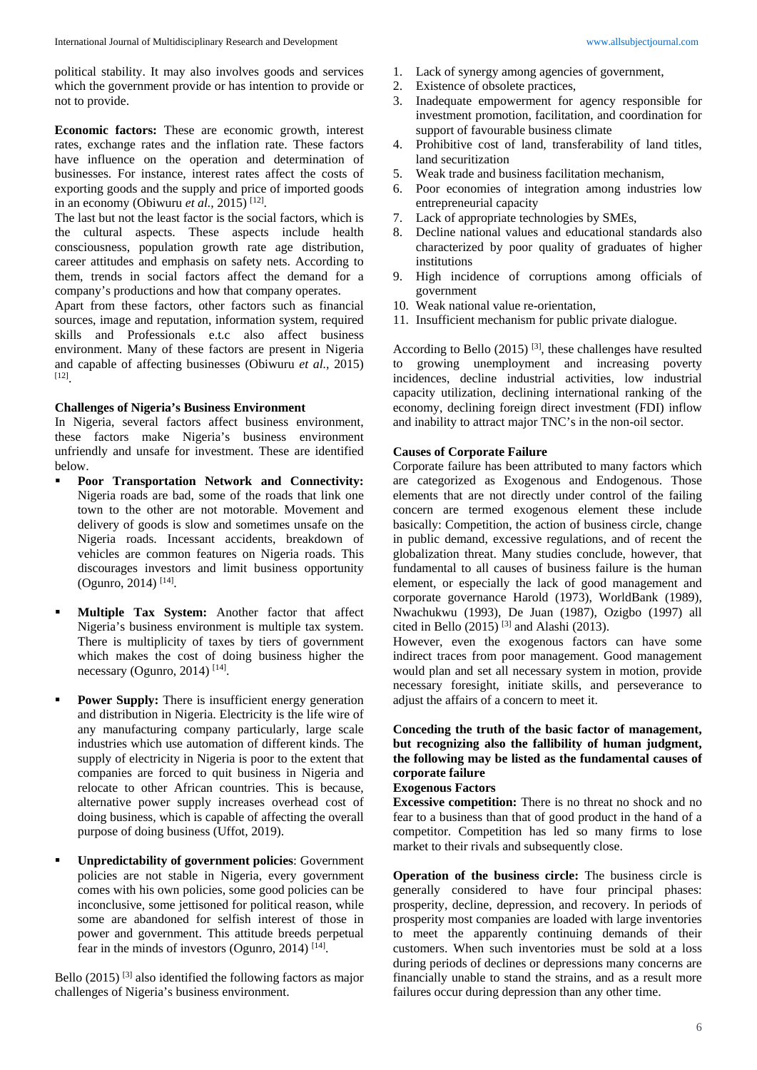political stability. It may also involves goods and services which the government provide or has intention to provide or not to provide.

**Economic factors:** These are economic growth, interest rates, exchange rates and the inflation rate. These factors have influence on the operation and determination of businesses. For instance, interest rates affect the costs of exporting goods and the supply and price of imported goods in an economy (Obiwuru *et al.,* 2015) [12].

The last but not the least factor is the social factors, which is the cultural aspects. These aspects include health consciousness, population growth rate age distribution, career attitudes and emphasis on safety nets. According to them, trends in social factors affect the demand for a company's productions and how that company operates.

Apart from these factors, other factors such as financial sources, image and reputation, information system, required skills and Professionals e.t.c also affect business environment. Many of these factors are present in Nigeria and capable of affecting businesses (Obiwuru *et al.,* 2015) [12].

## **Challenges of Nigeria's Business Environment**

In Nigeria, several factors affect business environment, these factors make Nigeria's business environment unfriendly and unsafe for investment. These are identified below.

- **Poor Transportation Network and Connectivity:** Nigeria roads are bad, some of the roads that link one town to the other are not motorable. Movement and delivery of goods is slow and sometimes unsafe on the Nigeria roads. Incessant accidents, breakdown of vehicles are common features on Nigeria roads. This discourages investors and limit business opportunity (Ogunro, 2014) [14].
- **Multiple Tax System:** Another factor that affect Nigeria's business environment is multiple tax system. There is multiplicity of taxes by tiers of government which makes the cost of doing business higher the necessary (Ogunro, 2014)<sup>[14]</sup>.
- Power Supply: There is insufficient energy generation and distribution in Nigeria. Electricity is the life wire of any manufacturing company particularly, large scale industries which use automation of different kinds. The supply of electricity in Nigeria is poor to the extent that companies are forced to quit business in Nigeria and relocate to other African countries. This is because, alternative power supply increases overhead cost of doing business, which is capable of affecting the overall purpose of doing business (Uffot, 2019).
- **Unpredictability of government policies**: Government policies are not stable in Nigeria, every government comes with his own policies, some good policies can be inconclusive, some jettisoned for political reason, while some are abandoned for selfish interest of those in power and government. This attitude breeds perpetual fear in the minds of investors (Ogunro, 2014)  $[14]$ .

Bello  $(2015)$ <sup>[3]</sup> also identified the following factors as major challenges of Nigeria's business environment.

- 1. Lack of synergy among agencies of government,
- 2. Existence of obsolete practices,
- 3. Inadequate empowerment for agency responsible for investment promotion, facilitation, and coordination for support of favourable business climate
- 4. Prohibitive cost of land, transferability of land titles, land securitization
- 5. Weak trade and business facilitation mechanism,
- 6. Poor economies of integration among industries low entrepreneurial capacity
- 7. Lack of appropriate technologies by SMEs,
- 8. Decline national values and educational standards also characterized by poor quality of graduates of higher institutions
- 9. High incidence of corruptions among officials of government
- 10. Weak national value re-orientation,
- 11. Insufficient mechanism for public private dialogue.

According to Bello  $(2015)$  <sup>[3]</sup>, these challenges have resulted to growing unemployment and increasing poverty incidences, decline industrial activities, low industrial capacity utilization, declining international ranking of the economy, declining foreign direct investment (FDI) inflow and inability to attract major TNC's in the non-oil sector.

### **Causes of Corporate Failure**

Corporate failure has been attributed to many factors which are categorized as Exogenous and Endogenous. Those elements that are not directly under control of the failing concern are termed exogenous element these include basically: Competition, the action of business circle, change in public demand, excessive regulations, and of recent the globalization threat. Many studies conclude, however, that fundamental to all causes of business failure is the human element, or especially the lack of good management and corporate governance Harold (1973), WorldBank (1989), Nwachukwu (1993), De Juan (1987), Ozigbo (1997) all cited in Bello (2015) <sup>[3]</sup> and Alashi (2013).

However, even the exogenous factors can have some indirect traces from poor management. Good management would plan and set all necessary system in motion, provide necessary foresight, initiate skills, and perseverance to adjust the affairs of a concern to meet it.

# **Conceding the truth of the basic factor of management, but recognizing also the fallibility of human judgment, the following may be listed as the fundamental causes of corporate failure**

#### **Exogenous Factors**

**Excessive competition:** There is no threat no shock and no fear to a business than that of good product in the hand of a competitor. Competition has led so many firms to lose market to their rivals and subsequently close.

**Operation of the business circle:** The business circle is generally considered to have four principal phases: prosperity, decline, depression, and recovery. In periods of prosperity most companies are loaded with large inventories to meet the apparently continuing demands of their customers. When such inventories must be sold at a loss during periods of declines or depressions many concerns are financially unable to stand the strains, and as a result more failures occur during depression than any other time.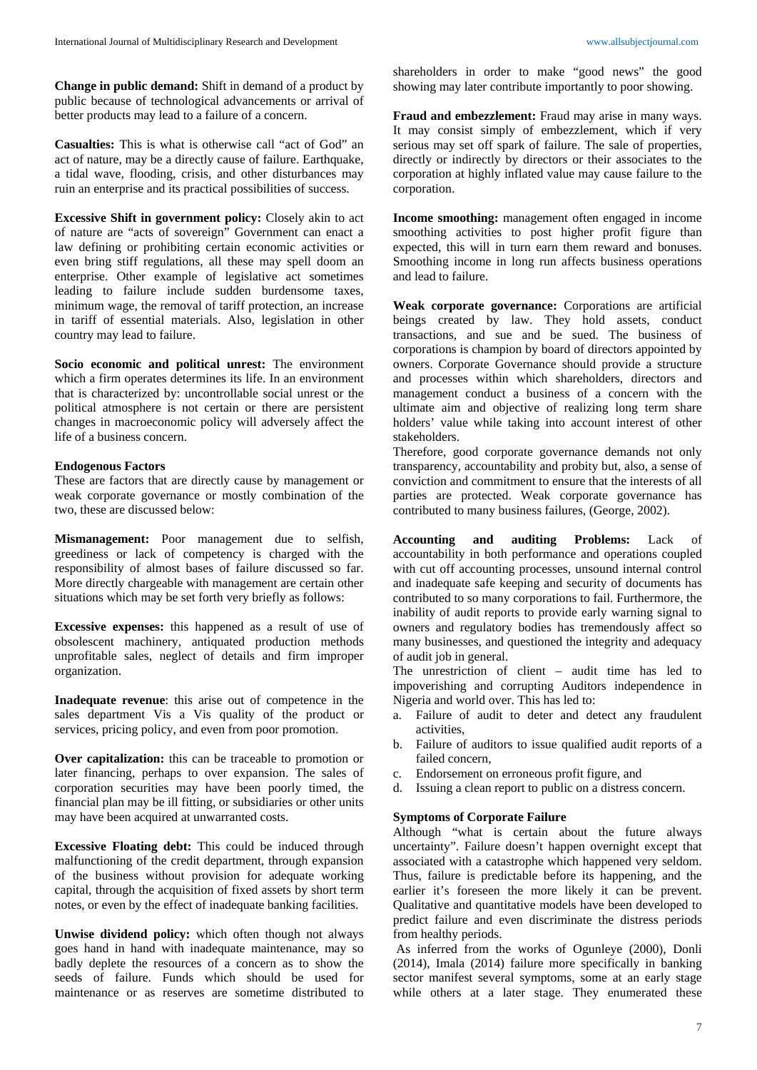**Change in public demand:** Shift in demand of a product by public because of technological advancements or arrival of better products may lead to a failure of a concern.

**Casualties:** This is what is otherwise call "act of God" an act of nature, may be a directly cause of failure. Earthquake, a tidal wave, flooding, crisis, and other disturbances may ruin an enterprise and its practical possibilities of success.

**Excessive Shift in government policy:** Closely akin to act of nature are "acts of sovereign" Government can enact a law defining or prohibiting certain economic activities or even bring stiff regulations, all these may spell doom an enterprise. Other example of legislative act sometimes leading to failure include sudden burdensome taxes, minimum wage, the removal of tariff protection, an increase in tariff of essential materials. Also, legislation in other country may lead to failure.

**Socio economic and political unrest:** The environment which a firm operates determines its life. In an environment that is characterized by: uncontrollable social unrest or the political atmosphere is not certain or there are persistent changes in macroeconomic policy will adversely affect the life of a business concern.

#### **Endogenous Factors**

These are factors that are directly cause by management or weak corporate governance or mostly combination of the two, these are discussed below:

**Mismanagement:** Poor management due to selfish, greediness or lack of competency is charged with the responsibility of almost bases of failure discussed so far. More directly chargeable with management are certain other situations which may be set forth very briefly as follows:

**Excessive expenses:** this happened as a result of use of obsolescent machinery, antiquated production methods unprofitable sales, neglect of details and firm improper organization.

**Inadequate revenue**: this arise out of competence in the sales department Vis a Vis quality of the product or services, pricing policy, and even from poor promotion.

**Over capitalization:** this can be traceable to promotion or later financing, perhaps to over expansion. The sales of corporation securities may have been poorly timed, the financial plan may be ill fitting, or subsidiaries or other units may have been acquired at unwarranted costs.

**Excessive Floating debt:** This could be induced through malfunctioning of the credit department, through expansion of the business without provision for adequate working capital, through the acquisition of fixed assets by short term notes, or even by the effect of inadequate banking facilities.

**Unwise dividend policy:** which often though not always goes hand in hand with inadequate maintenance, may so badly deplete the resources of a concern as to show the seeds of failure. Funds which should be used for maintenance or as reserves are sometime distributed to

shareholders in order to make "good news" the good showing may later contribute importantly to poor showing.

**Fraud and embezzlement:** Fraud may arise in many ways. It may consist simply of embezzlement, which if very serious may set off spark of failure. The sale of properties, directly or indirectly by directors or their associates to the corporation at highly inflated value may cause failure to the corporation.

**Income smoothing:** management often engaged in income smoothing activities to post higher profit figure than expected, this will in turn earn them reward and bonuses. Smoothing income in long run affects business operations and lead to failure.

**Weak corporate governance:** Corporations are artificial beings created by law. They hold assets, conduct transactions, and sue and be sued. The business of corporations is champion by board of directors appointed by owners. Corporate Governance should provide a structure and processes within which shareholders, directors and management conduct a business of a concern with the ultimate aim and objective of realizing long term share holders' value while taking into account interest of other stakeholders.

Therefore, good corporate governance demands not only transparency, accountability and probity but, also, a sense of conviction and commitment to ensure that the interests of all parties are protected. Weak corporate governance has contributed to many business failures, (George, 2002).

**Accounting and auditing Problems:** Lack of accountability in both performance and operations coupled with cut off accounting processes, unsound internal control and inadequate safe keeping and security of documents has contributed to so many corporations to fail. Furthermore, the inability of audit reports to provide early warning signal to owners and regulatory bodies has tremendously affect so many businesses, and questioned the integrity and adequacy of audit job in general.

The unrestriction of client – audit time has led to impoverishing and corrupting Auditors independence in Nigeria and world over. This has led to:

- a. Failure of audit to deter and detect any fraudulent activities,
- b. Failure of auditors to issue qualified audit reports of a failed concern,
- c. Endorsement on erroneous profit figure, and
- d. Issuing a clean report to public on a distress concern.

## **Symptoms of Corporate Failure**

Although "what is certain about the future always uncertainty". Failure doesn't happen overnight except that associated with a catastrophe which happened very seldom. Thus, failure is predictable before its happening, and the earlier it's foreseen the more likely it can be prevent. Qualitative and quantitative models have been developed to predict failure and even discriminate the distress periods from healthy periods.

As inferred from the works of Ogunleye (2000), Donli (2014), Imala (2014) failure more specifically in banking sector manifest several symptoms, some at an early stage while others at a later stage. They enumerated these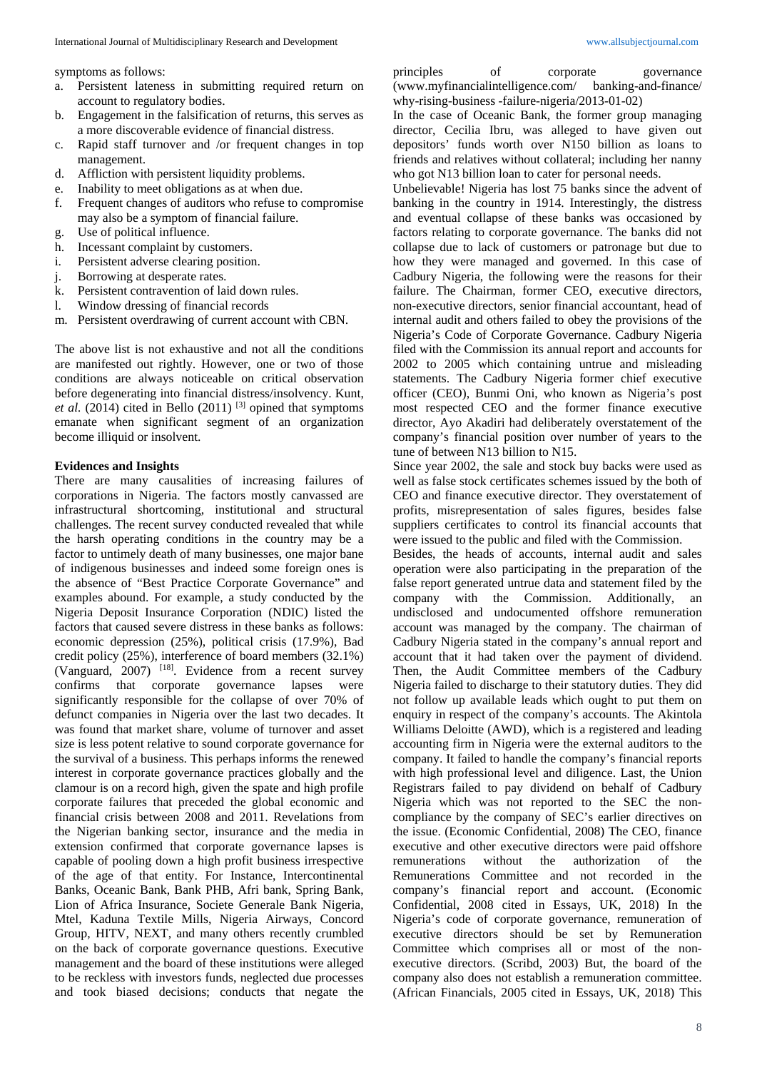symptoms as follows:

- a. Persistent lateness in submitting required return on account to regulatory bodies.
- b. Engagement in the falsification of returns, this serves as a more discoverable evidence of financial distress.
- c. Rapid staff turnover and /or frequent changes in top management.
- d. Affliction with persistent liquidity problems.
- e. Inability to meet obligations as at when due.
- f. Frequent changes of auditors who refuse to compromise may also be a symptom of financial failure.
- g. Use of political influence.
- h. Incessant complaint by customers.
- i. Persistent adverse clearing position.
- j. Borrowing at desperate rates.
- k. Persistent contravention of laid down rules.
- l. Window dressing of financial records
- m. Persistent overdrawing of current account with CBN.

The above list is not exhaustive and not all the conditions are manifested out rightly. However, one or two of those conditions are always noticeable on critical observation before degenerating into financial distress/insolvency. Kunt, *et al.* (2014) cited in Bello (2011) <sup>[3]</sup> opined that symptoms emanate when significant segment of an organization become illiquid or insolvent.

#### **Evidences and Insights**

There are many causalities of increasing failures of corporations in Nigeria. The factors mostly canvassed are infrastructural shortcoming, institutional and structural challenges. The recent survey conducted revealed that while the harsh operating conditions in the country may be a factor to untimely death of many businesses, one major bane of indigenous businesses and indeed some foreign ones is the absence of "Best Practice Corporate Governance" and examples abound. For example, a study conducted by the Nigeria Deposit Insurance Corporation (NDIC) listed the factors that caused severe distress in these banks as follows: economic depression (25%), political crisis (17.9%), Bad credit policy (25%), interference of board members (32.1%) (Vanguard, 2007) [18]. Evidence from a recent survey confirms that corporate governance lapses were significantly responsible for the collapse of over 70% of defunct companies in Nigeria over the last two decades. It was found that market share, volume of turnover and asset size is less potent relative to sound corporate governance for the survival of a business. This perhaps informs the renewed interest in corporate governance practices globally and the clamour is on a record high, given the spate and high profile corporate failures that preceded the global economic and financial crisis between 2008 and 2011. Revelations from the Nigerian banking sector, insurance and the media in extension confirmed that corporate governance lapses is capable of pooling down a high profit business irrespective of the age of that entity. For Instance, Intercontinental Banks, Oceanic Bank, Bank PHB, Afri bank, Spring Bank, Lion of Africa Insurance, Societe Generale Bank Nigeria, Mtel, Kaduna Textile Mills, Nigeria Airways, Concord Group, HITV, NEXT, and many others recently crumbled on the back of corporate governance questions. Executive management and the board of these institutions were alleged to be reckless with investors funds, neglected due processes and took biased decisions; conducts that negate the principles of corporate governance (www.myfinancialintelligence.com/ banking-and-finance/ why-rising-business -failure-nigeria/2013-01-02)

In the case of Oceanic Bank, the former group managing director, Cecilia Ibru, was alleged to have given out depositors' funds worth over N150 billion as loans to friends and relatives without collateral; including her nanny who got N13 billion loan to cater for personal needs.

Unbelievable! Nigeria has lost 75 banks since the advent of banking in the country in 1914. Interestingly, the distress and eventual collapse of these banks was occasioned by factors relating to corporate governance. The banks did not collapse due to lack of customers or patronage but due to how they were managed and governed. In this case of Cadbury Nigeria, the following were the reasons for their failure. The Chairman, former CEO, executive directors, non-executive directors, senior financial accountant, head of internal audit and others failed to obey the provisions of the Nigeria's Code of Corporate Governance. Cadbury Nigeria filed with the Commission its annual report and accounts for 2002 to 2005 which containing untrue and misleading statements. The Cadbury Nigeria former chief executive officer (CEO), Bunmi Oni, who known as Nigeria's post most respected CEO and the former finance executive director, Ayo Akadiri had deliberately overstatement of the company's financial position over number of years to the tune of between N13 billion to N15.

Since year 2002, the sale and stock buy backs were used as well as false stock certificates schemes issued by the both of CEO and finance executive director. They overstatement of profits, misrepresentation of sales figures, besides false suppliers certificates to control its financial accounts that were issued to the public and filed with the Commission.

Besides, the heads of accounts, internal audit and sales operation were also participating in the preparation of the false report generated untrue data and statement filed by the company with the Commission. Additionally, an undisclosed and undocumented offshore remuneration account was managed by the company. The chairman of Cadbury Nigeria stated in the company's annual report and account that it had taken over the payment of dividend. Then, the Audit Committee members of the Cadbury Nigeria failed to discharge to their statutory duties. They did not follow up available leads which ought to put them on enquiry in respect of the company's accounts. The Akintola Williams Deloitte (AWD), which is a registered and leading accounting firm in Nigeria were the external auditors to the company. It failed to handle the company's financial reports with high professional level and diligence. Last, the Union Registrars failed to pay dividend on behalf of Cadbury Nigeria which was not reported to the SEC the noncompliance by the company of SEC's earlier directives on the issue. (Economic Confidential, 2008) The CEO, finance executive and other executive directors were paid offshore remunerations without the authorization of the Remunerations Committee and not recorded in the company's financial report and account. (Economic Confidential, 2008 cited in Essays, UK, 2018) In the Nigeria's code of corporate governance, remuneration of executive directors should be set by Remuneration Committee which comprises all or most of the nonexecutive directors. (Scribd, 2003) But, the board of the company also does not establish a remuneration committee. (African Financials, 2005 cited in Essays, UK, 2018) This